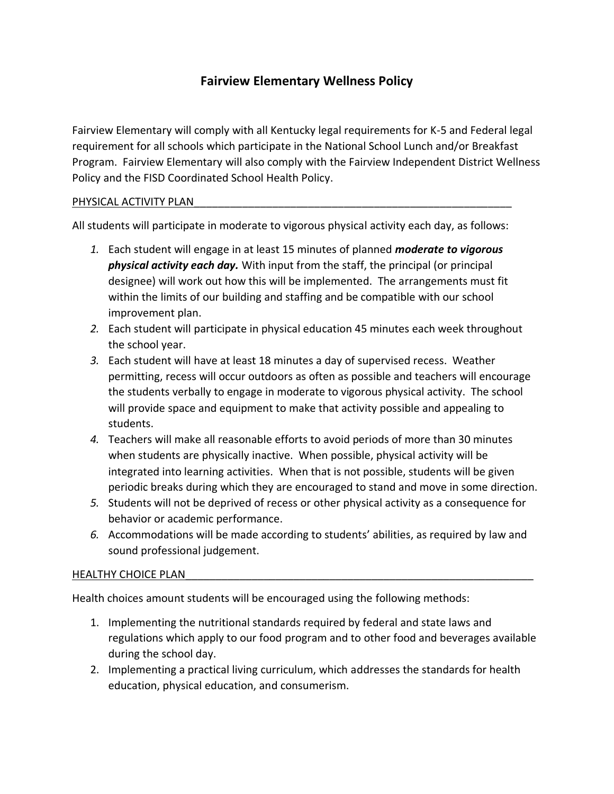# **Fairview Elementary Wellness Policy**

Fairview Elementary will comply with all Kentucky legal requirements for K-5 and Federal legal requirement for all schools which participate in the National School Lunch and/or Breakfast Program. Fairview Elementary will also comply with the Fairview Independent District Wellness Policy and the FISD Coordinated School Health Policy.

#### PHYSICAL ACTIVITY PLAN

All students will participate in moderate to vigorous physical activity each day, as follows:

- *1.* Each student will engage in at least 15 minutes of planned *moderate to vigorous physical activity each day.* With input from the staff, the principal (or principal designee) will work out how this will be implemented. The arrangements must fit within the limits of our building and staffing and be compatible with our school improvement plan.
- *2.* Each student will participate in physical education 45 minutes each week throughout the school year.
- *3.* Each student will have at least 18 minutes a day of supervised recess. Weather permitting, recess will occur outdoors as often as possible and teachers will encourage the students verbally to engage in moderate to vigorous physical activity. The school will provide space and equipment to make that activity possible and appealing to students.
- *4.* Teachers will make all reasonable efforts to avoid periods of more than 30 minutes when students are physically inactive. When possible, physical activity will be integrated into learning activities. When that is not possible, students will be given periodic breaks during which they are encouraged to stand and move in some direction.
- *5.* Students will not be deprived of recess or other physical activity as a consequence for behavior or academic performance.
- *6.* Accommodations will be made according to students' abilities, as required by law and sound professional judgement.

#### HEALTHY CHOICE PLAN

Health choices amount students will be encouraged using the following methods:

- 1. Implementing the nutritional standards required by federal and state laws and regulations which apply to our food program and to other food and beverages available during the school day.
- 2. Implementing a practical living curriculum, which addresses the standards for health education, physical education, and consumerism.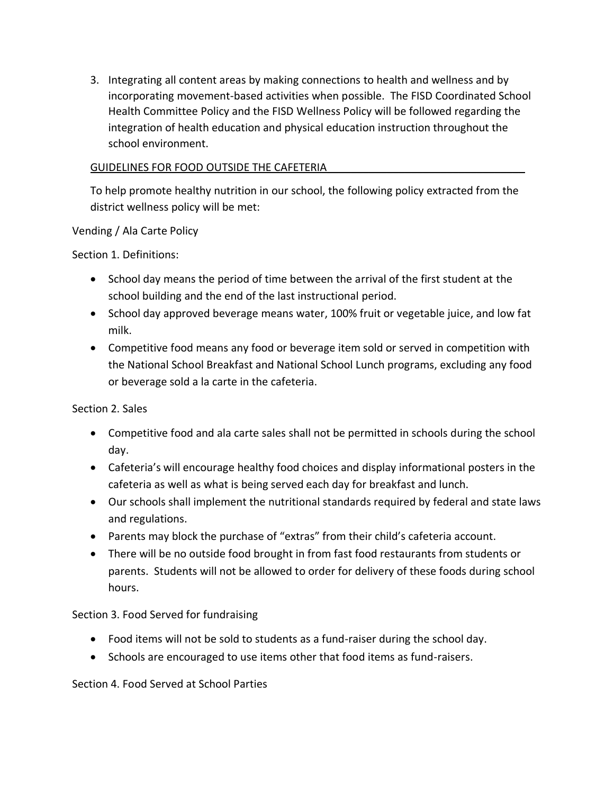3. Integrating all content areas by making connections to health and wellness and by incorporating movement-based activities when possible. The FISD Coordinated School Health Committee Policy and the FISD Wellness Policy will be followed regarding the integration of health education and physical education instruction throughout the school environment.

#### GUIDELINES FOR FOOD OUTSIDE THE CAFETERIA

To help promote healthy nutrition in our school, the following policy extracted from the district wellness policy will be met:

Vending / Ala Carte Policy

Section 1. Definitions:

- School day means the period of time between the arrival of the first student at the school building and the end of the last instructional period.
- School day approved beverage means water, 100% fruit or vegetable juice, and low fat milk.
- Competitive food means any food or beverage item sold or served in competition with the National School Breakfast and National School Lunch programs, excluding any food or beverage sold a la carte in the cafeteria.

Section 2. Sales

- Competitive food and ala carte sales shall not be permitted in schools during the school day.
- Cafeteria's will encourage healthy food choices and display informational posters in the cafeteria as well as what is being served each day for breakfast and lunch.
- Our schools shall implement the nutritional standards required by federal and state laws and regulations.
- Parents may block the purchase of "extras" from their child's cafeteria account.
- There will be no outside food brought in from fast food restaurants from students or parents. Students will not be allowed to order for delivery of these foods during school hours.

Section 3. Food Served for fundraising

- Food items will not be sold to students as a fund-raiser during the school day.
- Schools are encouraged to use items other that food items as fund-raisers.

Section 4. Food Served at School Parties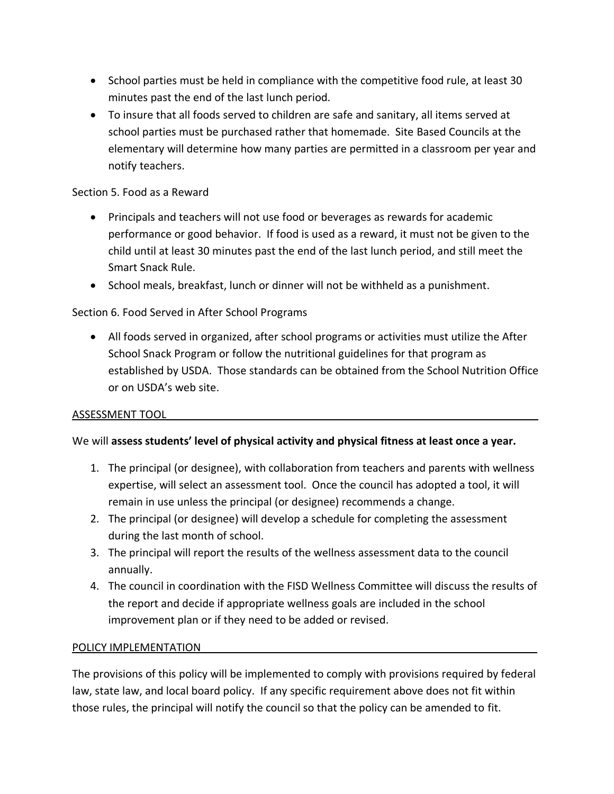- School parties must be held in compliance with the competitive food rule, at least 30 minutes past the end of the last lunch period.
- To insure that all foods served to children are safe and sanitary, all items served at school parties must be purchased rather that homemade. Site Based Councils at the elementary will determine how many parties are permitted in a classroom per year and notify teachers.

## Section 5. Food as a Reward

- Principals and teachers will not use food or beverages as rewards for academic performance or good behavior. If food is used as a reward, it must not be given to the child until at least 30 minutes past the end of the last lunch period, and still meet the Smart Snack Rule.
- School meals, breakfast, lunch or dinner will not be withheld as a punishment.

# Section 6. Food Served in After School Programs

• All foods served in organized, after school programs or activities must utilize the After School Snack Program or follow the nutritional guidelines for that program as established by USDA. Those standards can be obtained from the School Nutrition Office or on USDA's web site.

### ASSESSMENT TOOL\_\_\_\_\_\_\_\_\_\_\_\_\_\_\_\_\_\_\_\_\_\_\_\_\_\_\_\_\_\_\_\_\_\_\_\_\_\_\_\_\_\_\_\_\_\_\_\_\_\_\_\_\_\_\_\_\_\_\_\_\_\_

### We will **assess students' level of physical activity and physical fitness at least once a year.**

- 1. The principal (or designee), with collaboration from teachers and parents with wellness expertise, will select an assessment tool. Once the council has adopted a tool, it will remain in use unless the principal (or designee) recommends a change.
- 2. The principal (or designee) will develop a schedule for completing the assessment during the last month of school.
- 3. The principal will report the results of the wellness assessment data to the council annually.
- 4. The council in coordination with the FISD Wellness Committee will discuss the results of the report and decide if appropriate wellness goals are included in the school improvement plan or if they need to be added or revised.

### POLICY IMPLEMENTATION

The provisions of this policy will be implemented to comply with provisions required by federal law, state law, and local board policy. If any specific requirement above does not fit within those rules, the principal will notify the council so that the policy can be amended to fit.